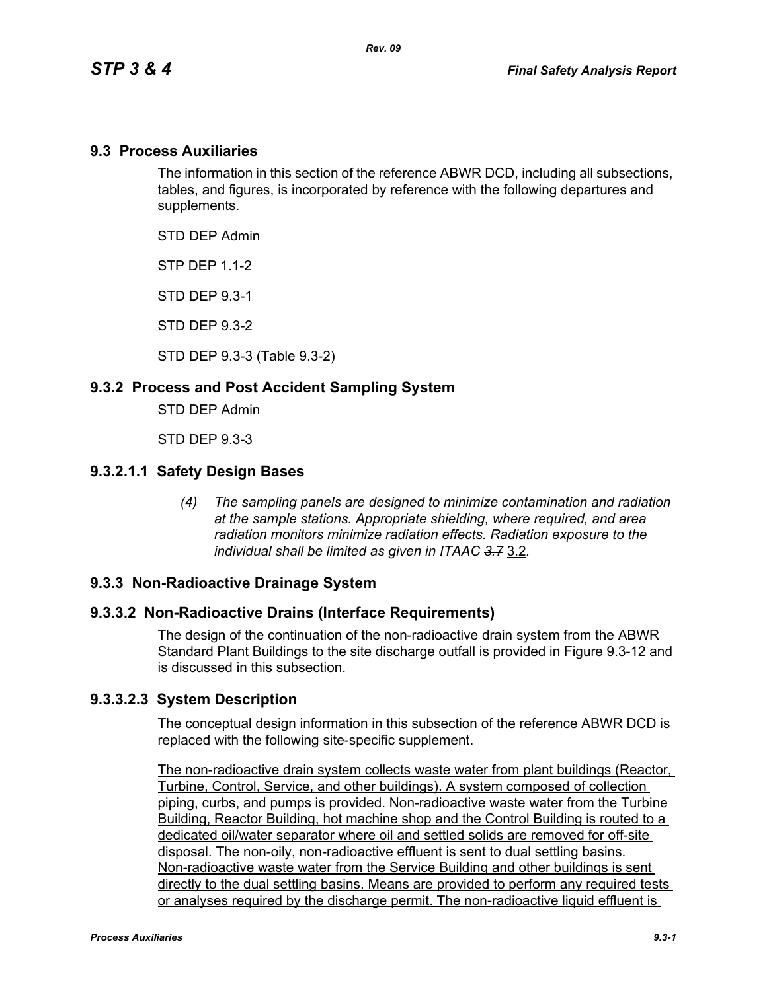### **9.3 Process Auxiliaries**

The information in this section of the reference ABWR DCD, including all subsections, tables, and figures, is incorporated by reference with the following departures and supplements.

STD DEP Admin

**STP DFP 1 1-2** 

STD DEP 9.3-1

STD DEP 9.3-2

STD DEP 9.3-3 (Table 9.3-2)

### **9.3.2 Process and Post Accident Sampling System**

STD DEP Admin

STD DEP 9.3-3

### **9.3.2.1.1 Safety Design Bases**

*(4) The sampling panels are designed to minimize contamination and radiation at the sample stations. Appropriate shielding, where required, and area radiation monitors minimize radiation effects. Radiation exposure to the individual shall be limited as given in ITAAC 3.7* 3.2*.*

#### **9.3.3 Non-Radioactive Drainage System**

# **9.3.3.2 Non-Radioactive Drains (Interface Requirements)**

The design of the continuation of the non-radioactive drain system from the ABWR Standard Plant Buildings to the site discharge outfall is provided in Figure 9.3-12 and is discussed in this subsection.

# **9.3.3.2.3 System Description**

The conceptual design information in this subsection of the reference ABWR DCD is replaced with the following site-specific supplement.

The non-radioactive drain system collects waste water from plant buildings (Reactor, Turbine, Control, Service, and other buildings). A system composed of collection piping, curbs, and pumps is provided. Non-radioactive waste water from the Turbine Building, Reactor Building, hot machine shop and the Control Building is routed to a dedicated oil/water separator where oil and settled solids are removed for off-site disposal. The non-oily, non-radioactive effluent is sent to dual settling basins. Non-radioactive waste water from the Service Building and other buildings is sent directly to the dual settling basins. Means are provided to perform any required tests or analyses required by the discharge permit. The non-radioactive liquid effluent is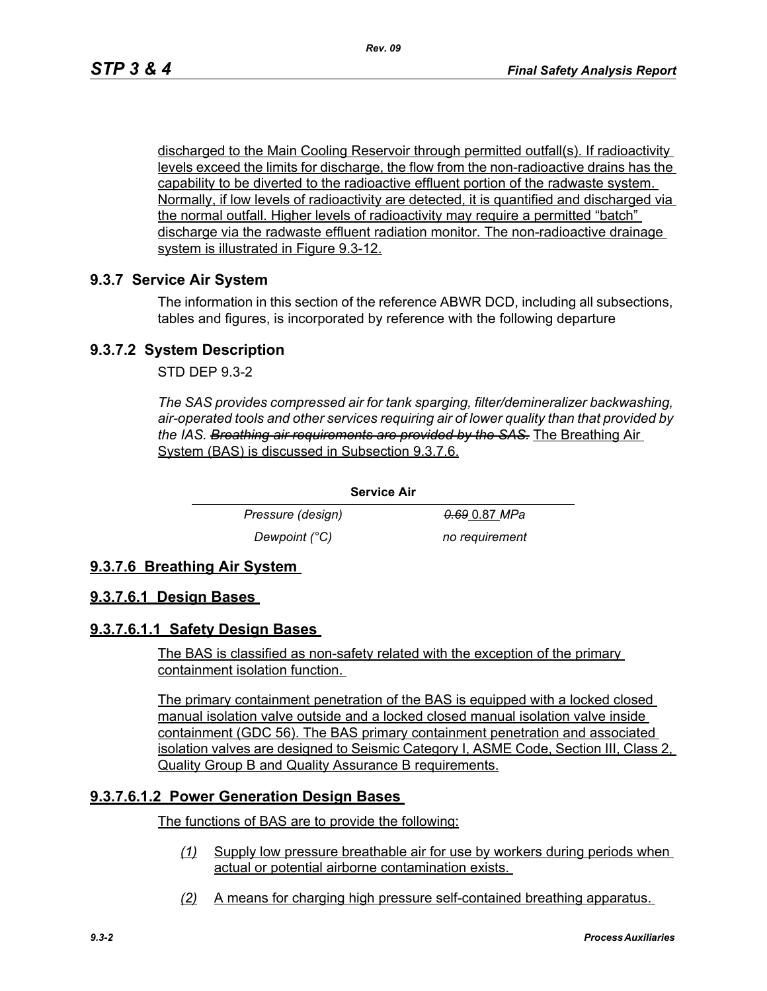discharged to the Main Cooling Reservoir through permitted outfall(s). If radioactivity levels exceed the limits for discharge, the flow from the non-radioactive drains has the capability to be diverted to the radioactive effluent portion of the radwaste system. Normally, if low levels of radioactivity are detected, it is quantified and discharged via the normal outfall. Higher levels of radioactivity may require a permitted "batch" discharge via the radwaste effluent radiation monitor. The non-radioactive drainage system is illustrated in Figure 9.3-12.

## **9.3.7 Service Air System**

The information in this section of the reference ABWR DCD, including all subsections, tables and figures, is incorporated by reference with the following departure

# **9.3.7.2 System Description**

STD DEP 9.3-2

*The SAS provides compressed air for tank sparging, filter/demineralizer backwashing, air-operated tools and other services requiring air of lower quality than that provided by the IAS. Breathing air requirements are provided by the SAS.* The Breathing Air System (BAS) is discussed in Subsection 9.3.7.6.

> *Pressure (design) 0.69* 0.87 *MPa Dewpoint (°C)* no requirement

## **9.3.7.6 Breathing Air System**

#### **9.3.7.6.1 Design Bases**

## **9.3.7.6.1.1 Safety Design Bases**

The BAS is classified as non-safety related with the exception of the primary containment isolation function.

**Service Air**

The primary containment penetration of the BAS is equipped with a locked closed manual isolation valve outside and a locked closed manual isolation valve inside containment (GDC 56). The BAS primary containment penetration and associated isolation valves are designed to Seismic Category I, ASME Code, Section III, Class 2, Quality Group B and Quality Assurance B requirements.

# **9.3.7.6.1.2 Power Generation Design Bases**

The functions of BAS are to provide the following:

- *(1)* Supply low pressure breathable air for use by workers during periods when actual or potential airborne contamination exists.
- *(2)* A means for charging high pressure self-contained breathing apparatus.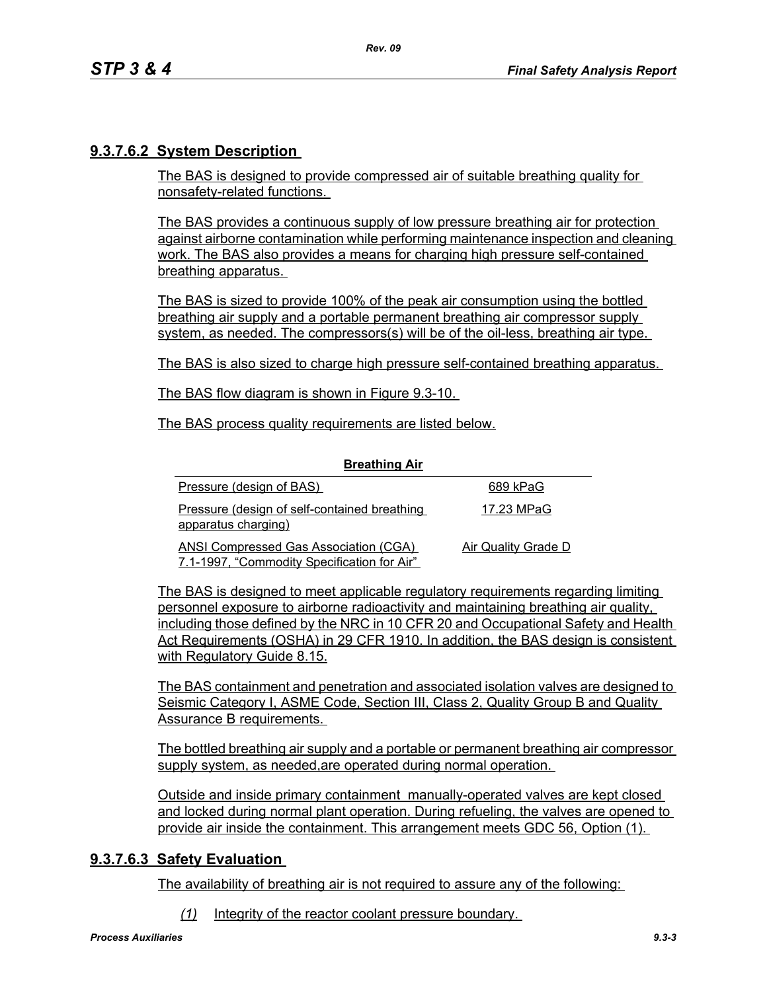# **9.3.7.6.2 System Description**

The BAS is designed to provide compressed air of suitable breathing quality for nonsafety-related functions.

The BAS provides a continuous supply of low pressure breathing air for protection against airborne contamination while performing maintenance inspection and cleaning work. The BAS also provides a means for charging high pressure self-contained breathing apparatus.

The BAS is sized to provide 100% of the peak air consumption using the bottled breathing air supply and a portable permanent breathing air compressor supply system, as needed. The compressors(s) will be of the oil-less, breathing air type.

The BAS is also sized to charge high pressure self-contained breathing apparatus.

The BAS flow diagram is shown in Figure 9.3-10.

The BAS process quality requirements are listed below.

| <b>Breathing Air</b>                                                                        |                     |  |  |  |  |  |  |
|---------------------------------------------------------------------------------------------|---------------------|--|--|--|--|--|--|
| Pressure (design of BAS)                                                                    | 689 kPaG            |  |  |  |  |  |  |
| Pressure (design of self-contained breathing<br>apparatus charging)                         | 17.23 MPaG          |  |  |  |  |  |  |
| <b>ANSI Compressed Gas Association (CGA)</b><br>7.1-1997, "Commodity Specification for Air" | Air Quality Grade D |  |  |  |  |  |  |

**Breathing Air**

The BAS is designed to meet applicable regulatory requirements regarding limiting personnel exposure to airborne radioactivity and maintaining breathing air quality, including those defined by the NRC in 10 CFR 20 and Occupational Safety and Health Act Requirements (OSHA) in 29 CFR 1910. In addition, the BAS design is consistent with Regulatory Guide 8.15.

The BAS containment and penetration and associated isolation valves are designed to Seismic Category I, ASME Code, Section III, Class 2, Quality Group B and Quality Assurance B requirements.

The bottled breathing air supply and a portable or permanent breathing air compressor supply system, as needed,are operated during normal operation.

Outside and inside primary containment manually-operated valves are kept closed and locked during normal plant operation. During refueling, the valves are opened to provide air inside the containment. This arrangement meets GDC 56, Option (1).

## **9.3.7.6.3 Safety Evaluation**

The availability of breathing air is not required to assure any of the following:

*(1)* Integrity of the reactor coolant pressure boundary.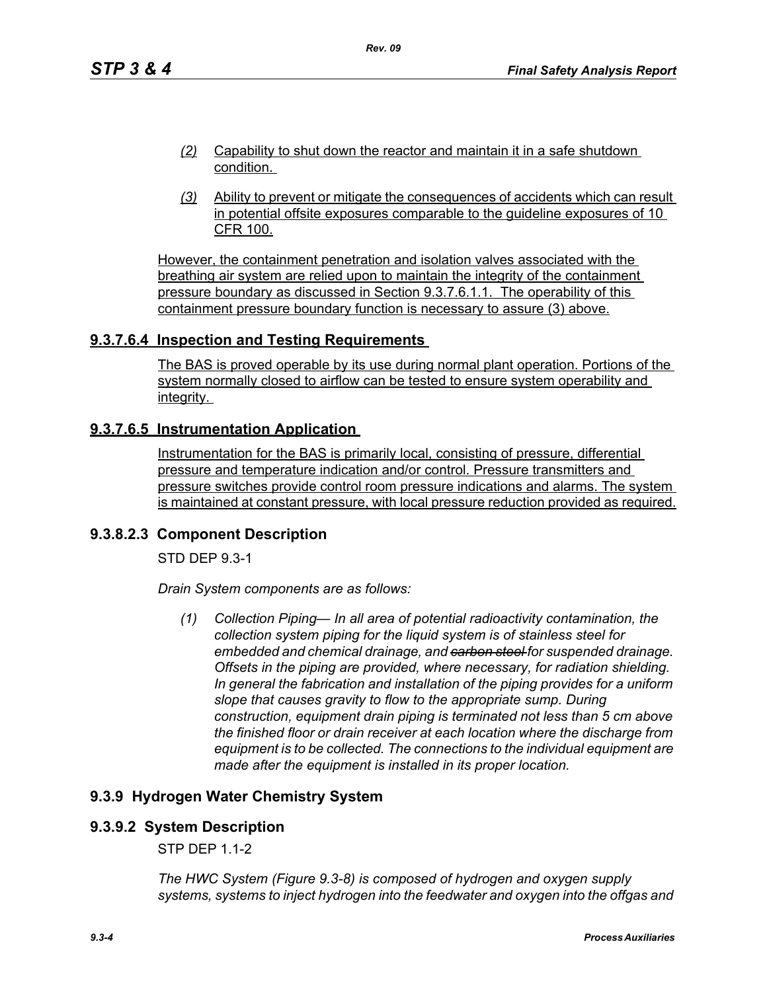- *(2)* Capability to shut down the reactor and maintain it in a safe shutdown condition.
- *(3)* Ability to prevent or mitigate the consequences of accidents which can result in potential offsite exposures comparable to the guideline exposures of 10 CFR 100.

However, the containment penetration and isolation valves associated with the breathing air system are relied upon to maintain the integrity of the containment pressure boundary as discussed in Section 9.3.7.6.1.1. The operability of this containment pressure boundary function is necessary to assure (3) above.

# **9.3.7.6.4 Inspection and Testing Requirements**

The BAS is proved operable by its use during normal plant operation. Portions of the system normally closed to airflow can be tested to ensure system operability and integrity.

# **9.3.7.6.5 Instrumentation Application**

Instrumentation for the BAS is primarily local, consisting of pressure, differential pressure and temperature indication and/or control. Pressure transmitters and pressure switches provide control room pressure indications and alarms. The system is maintained at constant pressure, with local pressure reduction provided as required.

## **9.3.8.2.3 Component Description**

STD DEP 9.3-1

*Drain System components are as follows:*

*(1) Collection Piping— In all area of potential radioactivity contamination, the collection system piping for the liquid system is of stainless steel for embedded and chemical drainage, and carbon steel for suspended drainage. Offsets in the piping are provided, where necessary, for radiation shielding. In general the fabrication and installation of the piping provides for a uniform slope that causes gravity to flow to the appropriate sump. During construction, equipment drain piping is terminated not less than 5 cm above the finished floor or drain receiver at each location where the discharge from equipment is to be collected. The connections to the individual equipment are made after the equipment is installed in its proper location.*

# **9.3.9 Hydrogen Water Chemistry System**

## **9.3.9.2 System Description**

STP DEP 1.1-2

*The HWC System (Figure 9.3-8) is composed of hydrogen and oxygen supply systems, systems to inject hydrogen into the feedwater and oxygen into the offgas and*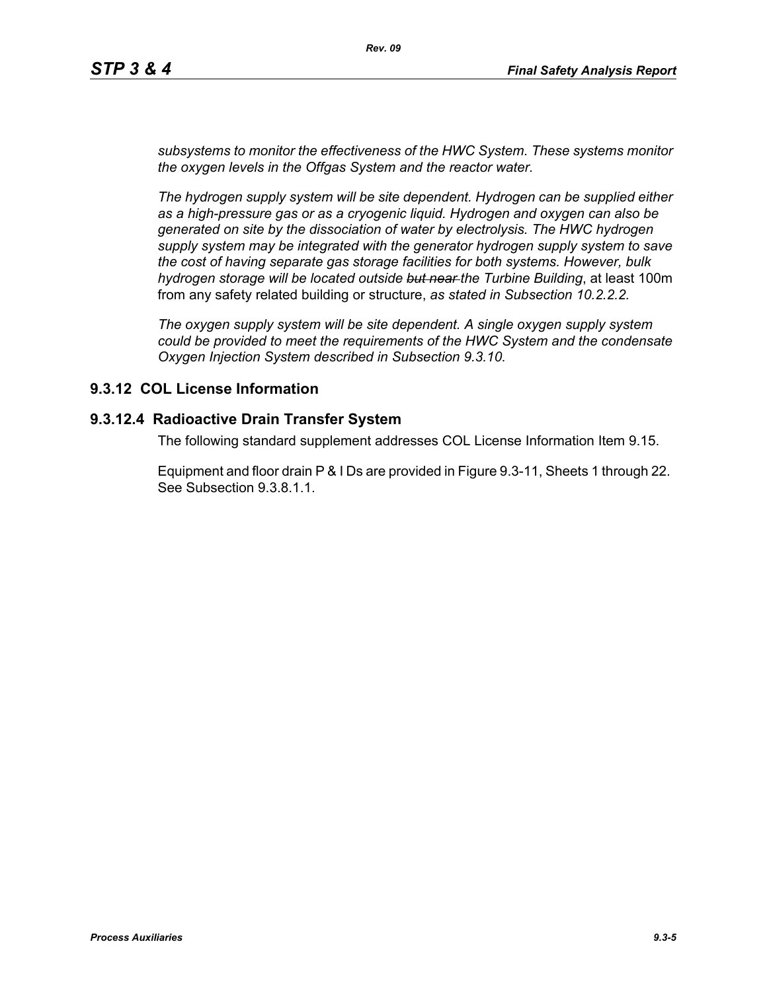*subsystems to monitor the effectiveness of the HWC System. These systems monitor the oxygen levels in the Offgas System and the reactor water.*

*The hydrogen supply system will be site dependent. Hydrogen can be supplied either as a high-pressure gas or as a cryogenic liquid. Hydrogen and oxygen can also be generated on site by the dissociation of water by electrolysis. The HWC hydrogen supply system may be integrated with the generator hydrogen supply system to save the cost of having separate gas storage facilities for both systems. However, bulk hydrogen storage will be located outside but near the Turbine Building*, at least 100m from any safety related building or structure, *as stated in Subsection 10.2.2.2.*

*The oxygen supply system will be site dependent. A single oxygen supply system could be provided to meet the requirements of the HWC System and the condensate Oxygen Injection System described in Subsection 9.3.10.*

# **9.3.12 COL License Information**

## **9.3.12.4 Radioactive Drain Transfer System**

The following standard supplement addresses COL License Information Item 9.15.

Equipment and floor drain P & I Ds are provided in Figure 9.3-11, Sheets 1 through 22. See Subsection 9.3.8.1.1.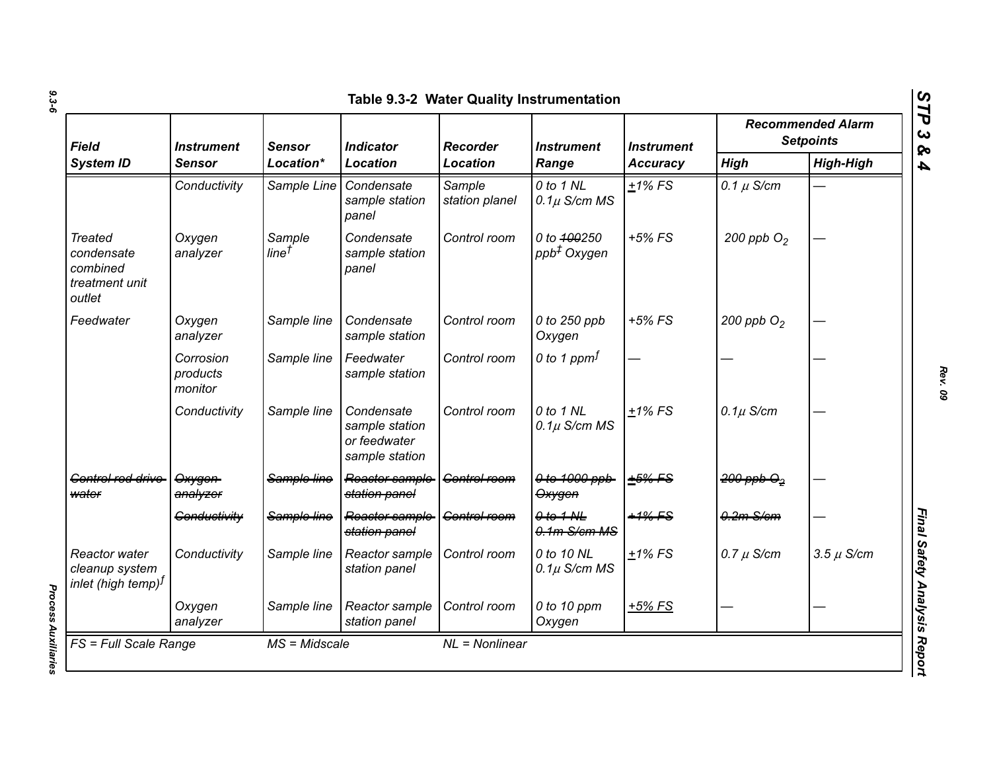| Field<br><b>System ID</b>                                            | <i><b>Instrument</b></i><br><b>Sensor</b><br>Sensor |                             | <b>Indicator</b><br><b>Location</b>                            | <b>Recorder</b><br><b>Location</b> | <i><b>Instrument</b></i><br>Range      | <b>Instrument</b><br><b>Accuracy</b> | <b>Recommended Alarm</b><br><b>Setpoints</b> |                  |
|----------------------------------------------------------------------|-----------------------------------------------------|-----------------------------|----------------------------------------------------------------|------------------------------------|----------------------------------------|--------------------------------------|----------------------------------------------|------------------|
|                                                                      |                                                     | Location*                   |                                                                |                                    |                                        |                                      | <b>High</b>                                  | <b>High-High</b> |
|                                                                      | Conductivity                                        | Sample Line                 | Condensate<br>sample station<br>panel                          | Sample<br>station planel           | 0 to 1 NL<br>$0.1\mu$ S/cm MS          | $+1\%$ FS                            | 0.1 $\mu$ S/cm                               |                  |
| <b>Treated</b><br>condensate<br>combined<br>treatment unit<br>outlet | Oxygen<br>analyzer                                  | Sample<br>line <sup>†</sup> | Condensate<br>sample station<br>panel                          | Control room                       | 0 to 400250<br>ppb <sup>+</sup> Oxygen | $+5%$ FS                             | 200 ppb $O2$                                 |                  |
| Feedwater                                                            | Oxygen<br>analyzer                                  | Sample line                 | Condensate<br>sample station                                   | Control room                       | 0 to 250 ppb<br>Oxygen                 | $+5\%$ FS                            | 200 ppb $O2$                                 |                  |
|                                                                      | Corrosion<br>products<br>monitor                    | Sample line                 | Feedwater<br>sample station                                    | Control room                       | 0 to 1 ppm $f$                         |                                      |                                              |                  |
|                                                                      | Conductivity                                        | Sample line                 | Condensate<br>sample station<br>or feedwater<br>sample station | Control room                       | 0 to 1 NL<br>$0.1\mu$ S/cm MS          | $+1\%$ FS                            | $0.1\mu$ S/cm                                |                  |
| Gentrel red drive<br>water                                           | Oxygen<br>analyzer                                  | Sample line                 | Reactor sample<br>station panel                                | Control room                       | 0 to 1000 ppb<br>Oxygen                | $+5%$ FS                             | $200$ ppb $\Theta_2$                         |                  |
|                                                                      | Conductivity                                        | Sample line                 | Reactor sample<br>station panel                                | <b>Control room</b>                | $0$ to $1$ NL<br>$0.1m$ S/cm MS        | $+1\%$ FS                            | $0.2m-S/cm$                                  |                  |
| Reactor water<br>cleanup system<br>$ $ inlet (high temp) $^f$        | Conductivity                                        | Sample line                 | Reactor sample<br>station panel                                | Control room                       | 0 to 10 NL<br>$0.1\mu$ S/cm MS         | $+1\%$ FS                            | $0.7 \mu$ S/cm                               | $3.5 \mu$ S/cm   |
|                                                                      | Oxygen<br>analyzer                                  | Sample line                 | Reactor sample<br>station panel                                | Control room                       | 0 to 10 ppm<br>Oxygen                  | $+5%$ FS                             |                                              |                  |

**Process Auxiliaries** *Process Auxiliaries* 

*Rev. 09*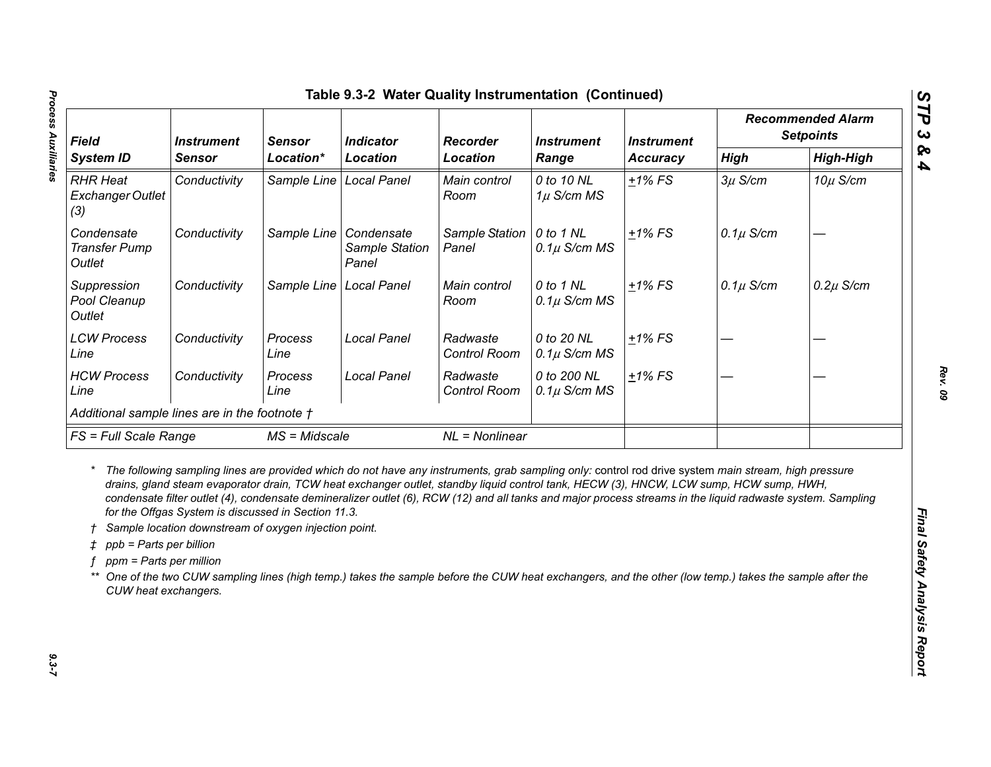| <b>Field</b><br><b>System ID</b>                                                                   |                                                                                                              | <b>Instrument</b><br><b>Indicator</b><br><b>Sensor</b><br><b>Location</b><br>Location* |                                       | Recorder                                                                                                                                                                                                                                                                                                                                                                                                                                                                                                                                                                                                              | <b>Instrument</b>               | <b>Instrument</b> | <b>Recommended Alarm</b><br><b>Setpoints</b> |               |
|----------------------------------------------------------------------------------------------------|--------------------------------------------------------------------------------------------------------------|----------------------------------------------------------------------------------------|---------------------------------------|-----------------------------------------------------------------------------------------------------------------------------------------------------------------------------------------------------------------------------------------------------------------------------------------------------------------------------------------------------------------------------------------------------------------------------------------------------------------------------------------------------------------------------------------------------------------------------------------------------------------------|---------------------------------|-------------------|----------------------------------------------|---------------|
|                                                                                                    | <b>Sensor</b>                                                                                                |                                                                                        | Location                              | Range                                                                                                                                                                                                                                                                                                                                                                                                                                                                                                                                                                                                                 | <b>Accuracy</b>                 | <b>High</b>       | <b>High-High</b>                             |               |
| <b>RHR Heat</b><br>Exchanger Outlet<br>(3)                                                         | Conductivity                                                                                                 | Sample Line                                                                            | <b>Local Panel</b>                    | Main control<br>Room                                                                                                                                                                                                                                                                                                                                                                                                                                                                                                                                                                                                  | 0 to 10 NL<br>$1\mu$ S/cm MS    | $+1\%$ FS         | $3\mu$ S/cm                                  | $10\mu$ S/cm  |
| Condensate<br><b>Transfer Pump</b><br>Outlet                                                       | Conductivity                                                                                                 | Sample Line                                                                            | Condensate<br>Sample Station<br>Panel | Sample Station<br>Panel                                                                                                                                                                                                                                                                                                                                                                                                                                                                                                                                                                                               | 0 to 1 NL<br>$0.1\mu$ S/cm MS   | $+1\%$ FS         | $0.1\mu$ S/cm                                |               |
| Suppression<br>Pool Cleanup<br>Outlet                                                              | Conductivity                                                                                                 | Sample Line                                                                            | <b>Local Panel</b>                    | Main control<br>Room                                                                                                                                                                                                                                                                                                                                                                                                                                                                                                                                                                                                  | 0 to 1 NL<br>$0.1\mu$ S/cm MS   | $+1\%$ FS         | $0.1\mu$ S/cm                                | $0.2\mu$ S/cm |
| <b>LCW Process</b><br>Line                                                                         | Conductivity                                                                                                 | Process<br>Line                                                                        | <b>Local Panel</b>                    | Radwaste<br>Control Room                                                                                                                                                                                                                                                                                                                                                                                                                                                                                                                                                                                              | 0 to 20 NL<br>$0.1\mu$ S/cm MS  | $±1\%$ FS         |                                              |               |
| <b>HCW Process</b><br>Line                                                                         | Conductivity                                                                                                 | Process<br>Line                                                                        | <b>Local Panel</b>                    | Radwaste<br>Control Room                                                                                                                                                                                                                                                                                                                                                                                                                                                                                                                                                                                              | 0 to 200 NL<br>$0.1\mu$ S/cm MS | $±1\%$ FS         |                                              |               |
| Additional sample lines are in the footnote †                                                      |                                                                                                              |                                                                                        |                                       |                                                                                                                                                                                                                                                                                                                                                                                                                                                                                                                                                                                                                       |                                 |                   |                                              |               |
|                                                                                                    | <b>FS</b> = Full Scale Range<br>$MS = Midscale$                                                              |                                                                                        | $NL = Nonlinear$                      |                                                                                                                                                                                                                                                                                                                                                                                                                                                                                                                                                                                                                       |                                 |                   |                                              |               |
| $^\star$<br>$\pm$ ppb = Parts per billion<br>ppm = Parts per million<br>**<br>CUW heat exchangers. | for the Offgas System is discussed in Section 11.3.<br>Sample location downstream of oxygen injection point. |                                                                                        |                                       | The following sampling lines are provided which do not have any instruments, grab sampling only: control rod drive system main stream, high pressure<br>drains, gland steam evaporator drain, TCW heat exchanger outlet, standby liquid control tank, HECW (3), HNCW, LCW sump, HCW sump, HWH,<br>condensate filter outlet (4), condensate demineralizer outlet (6), RCW (12) and all tanks and major process streams in the liquid radwaste system. Sampling<br>One of the two CUW sampling lines (high temp.) takes the sample before the CUW heat exchangers, and the other (low temp.) takes the sample after the |                                 |                   |                                              |               |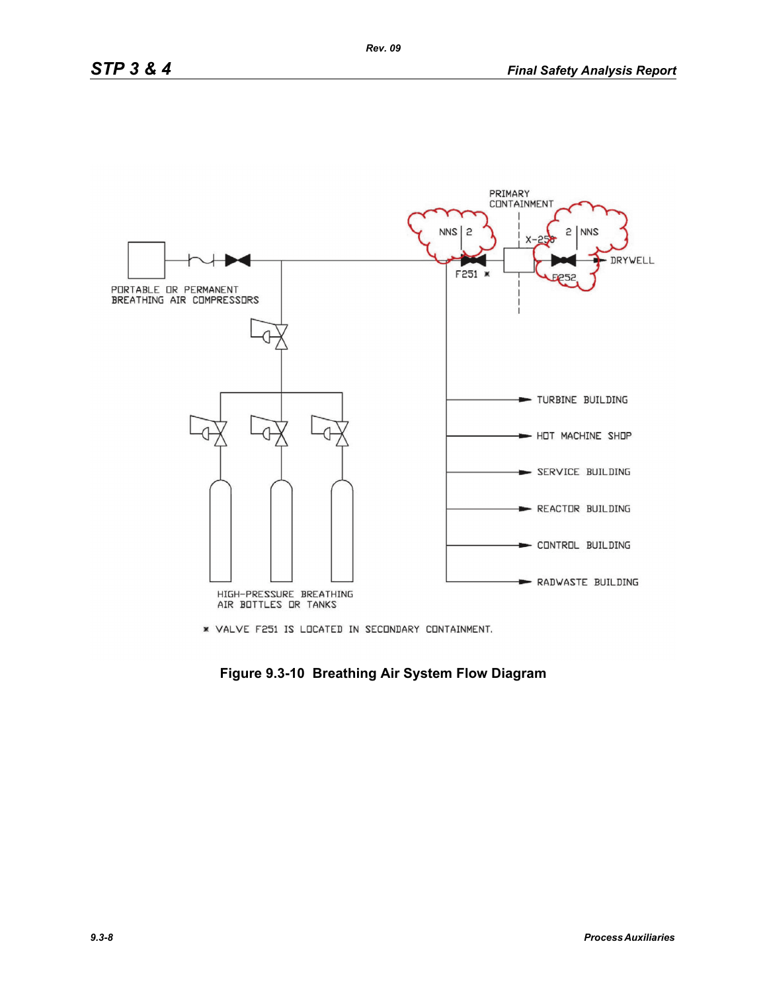

\* VALVE F251 IS LOCATED IN SECONDARY CONTAINMENT.

**Figure 9.3-10 Breathing Air System Flow Diagram**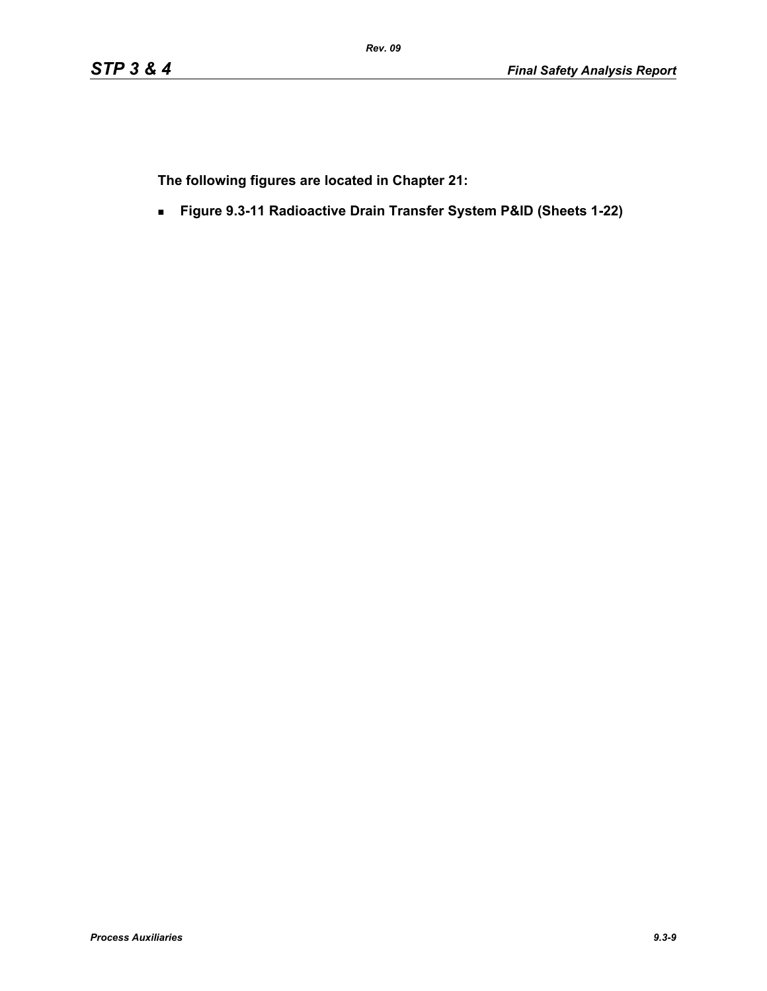**The following figures are located in Chapter 21:**

**Figure 9.3-11 Radioactive Drain Transfer System P&ID (Sheets 1-22)**

*Rev. 09*